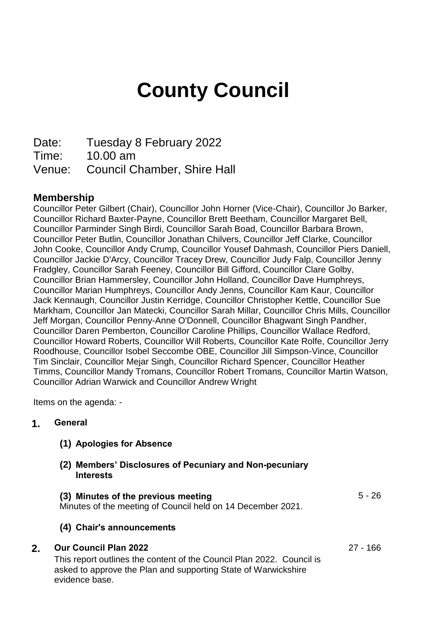# **County Council**

Date: Tuesday 8 February 2022

Time: 10.00 am

Venue: Council Chamber, Shire Hall

## **Membership**

Councillor Peter Gilbert (Chair), Councillor John Horner (Vice-Chair), Councillor Jo Barker, Councillor Richard Baxter-Payne, Councillor Brett Beetham, Councillor Margaret Bell, Councillor Parminder Singh Birdi, Councillor Sarah Boad, Councillor Barbara Brown, Councillor Peter Butlin, Councillor Jonathan Chilvers, Councillor Jeff Clarke, Councillor John Cooke, Councillor Andy Crump, Councillor Yousef Dahmash, Councillor Piers Daniell, Councillor Jackie D'Arcy, Councillor Tracey Drew, Councillor Judy Falp, Councillor Jenny Fradgley, Councillor Sarah Feeney, Councillor Bill Gifford, Councillor Clare Golby, Councillor Brian Hammersley, Councillor John Holland, Councillor Dave Humphreys, Councillor Marian Humphreys, Councillor Andy Jenns, Councillor Kam Kaur, Councillor Jack Kennaugh, Councillor Justin Kerridge, Councillor Christopher Kettle, Councillor Sue Markham, Councillor Jan Matecki, Councillor Sarah Millar, Councillor Chris Mills, Councillor Jeff Morgan, Councillor Penny-Anne O'Donnell, Councillor Bhagwant Singh Pandher, Councillor Daren Pemberton, Councillor Caroline Phillips, Councillor Wallace Redford, Councillor Howard Roberts, Councillor Will Roberts, Councillor Kate Rolfe, Councillor Jerry Roodhouse, Councillor Isobel Seccombe OBE, Councillor Jill Simpson-Vince, Councillor Tim Sinclair, Councillor Mejar Singh, Councillor Richard Spencer, Councillor Heather Timms, Councillor Mandy Tromans, Councillor Robert Tromans, Councillor Martin Watson, Councillor Adrian Warwick and Councillor Andrew Wright

Items on the agenda: -

## **1. General**

- **(1) Apologies for Absence**
- **(2) Members' Disclosures of Pecuniary and Non-pecuniary Interests**

#### **(3) Minutes of the previous meeting** 5 - 26

Minutes of the meeting of Council held on 14 December 2021.

## **(4) Chair's announcements**

#### **2. Our Council Plan 2022** 27 - 166

This report outlines the content of the Council Plan 2022. Council is asked to approve the Plan and supporting State of Warwickshire evidence base.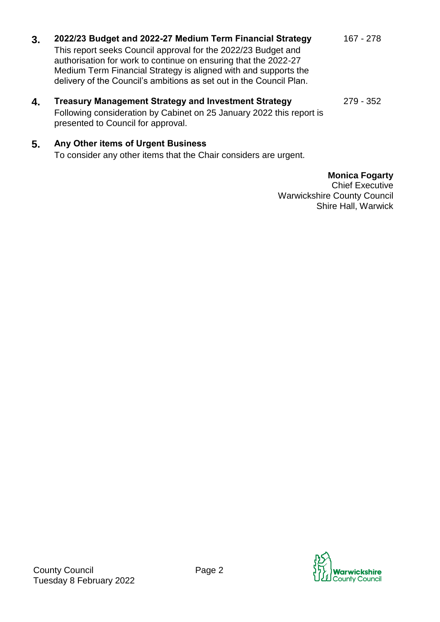# **3. 2022/23 Budget and 2022-27 Medium Term Financial Strategy** 167 - 278

This report seeks Council approval for the 2022/23 Budget and authorisation for work to continue on ensuring that the 2022-27 Medium Term Financial Strategy is aligned with and supports the delivery of the Council's ambitions as set out in the Council Plan.

**4. Treasury Management Strategy and Investment Strategy** 279 - 352 Following consideration by Cabinet on 25 January 2022 this report is presented to Council for approval.

## **5. Any Other items of Urgent Business**

To consider any other items that the Chair considers are urgent.

## **Monica Fogarty**

Chief Executive Warwickshire County Council Shire Hall, Warwick